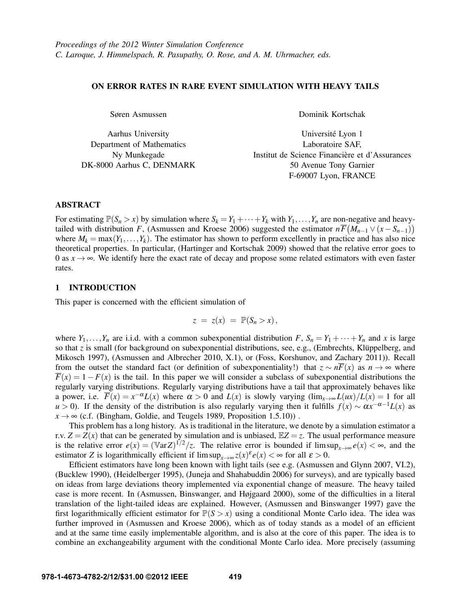### ON ERROR RATES IN RARE EVENT SIMULATION WITH HEAVY TAILS

Søren Asmussen

Aarhus University Department of Mathematics Ny Munkegade DK-8000 Aarhus C, DENMARK Dominik Kortschak

Universite Lyon 1 ´ Laboratoire SAF, Institut de Science Financière et d'Assurances 50 Avenue Tony Garnier F-69007 Lyon, FRANCE

### ABSTRACT

For estimating  $\mathbb{P}(S_n > x)$  by simulation where  $S_k = Y_1 + \cdots + Y_k$  with  $Y_1, \ldots, Y_n$  are non-negative and heavytailed with distribution *F*, (Asmussen and Kroese 2006) suggested the estimator  $n\overline{F}(M_{n-1} \vee (x-S_{n-1}))$ where  $M_k = \max(Y_1, \ldots, Y_k)$ . The estimator has shown to perform excellently in practice and has also nice theoretical properties. In particular, (Hartinger and Kortschak 2009) showed that the relative error goes to 0 as  $x \to \infty$ . We identify here the exact rate of decay and propose some related estimators with even faster rates.

# 1 INTRODUCTION

This paper is concerned with the efficient simulation of

 $z = z(x) = \mathbb{P}(S_n > x),$ 

where  $Y_1, \ldots, Y_n$  are i.i.d. with a common subexponential distribution  $F$ ,  $S_n = Y_1 + \cdots + Y_n$  and  $x$  is large so that  $z$  is small (for background on subexponential distributions, see, e.g., (Embrechts, Klüppelberg, and Mikosch 1997), (Asmussen and Albrecher 2010, X.1), or (Foss, Korshunov, and Zachary 2011)). Recall from the outset the standard fact (or definition of subexponentiality!) that  $z \sim n\overline{F}(x)$  as  $n \to \infty$  where  $\overline{F}(x) = 1 - F(x)$  is the tail. In this paper we will consider a subclass of subexponential distributions the regularly varying distributions. Regularly varying distributions have a tail that approximately behaves like a power, i.e.  $\overline{F}(x) = x^{-\alpha}L(x)$  where  $\alpha > 0$  and  $L(x)$  is slowly varying  $(\lim_{x\to\infty}L(ux)/L(x)) = 1$  for all *u* > 0). If the density of the distribution is also regularly varying then it fulfills  $f(x) \sim \alpha x^{-\alpha-1}L(x)$  as  $x \rightarrow \infty$  (c.f. (Bingham, Goldie, and Teugels 1989, Proposition 1.5.10)).

This problem has a long history. As is traditional in the literature, we denote by a simulation estimator a r.v.  $Z = Z(x)$  that can be generated by simulation and is unbiased,  $EZ = z$ . The usual performance measure is the relative error  $e(x) = (\text{Var }Z)^{1/2}/z$ . The relative error is bounded if  $\limsup_{x\to\infty} e(x) < \infty$ , and the estimator *Z* is logarithmically efficient if  $\limsup_{x\to\infty} z(x)^{\varepsilon}e(x) < \infty$  for all  $\varepsilon > 0$ .

Efficient estimators have long been known with light tails (see e.g. (Asmussen and Glynn 2007, VI.2), (Bucklew 1990), (Heidelberger 1995), (Juneja and Shahabuddin 2006) for surveys), and are typically based on ideas from large deviations theory implemented via exponential change of measure. The heavy tailed case is more recent. In (Asmussen, Binswanger, and Højgaard 2000), some of the difficulties in a literal translation of the light-tailed ideas are explained. However, (Asmussen and Binswanger 1997) gave the first logarithmically efficient estimator for  $\mathbb{P}(S > x)$  using a conditional Monte Carlo idea. The idea was further improved in (Asmussen and Kroese 2006), which as of today stands as a model of an efficient and at the same time easily implementable algorithm, and is also at the core of this paper. The idea is to combine an exchangeability argument with the conditional Monte Carlo idea. More precisely (assuming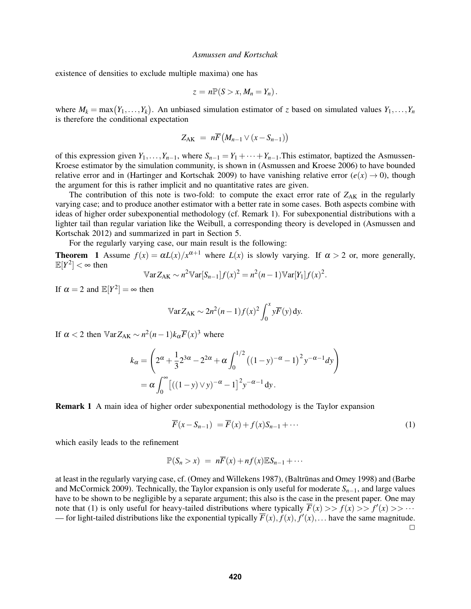existence of densities to exclude multiple maxima) one has

$$
z=n\mathbb{P}(S>x,M_n=Y_n).
$$

where  $M_k = \max(Y_1, \ldots, Y_k)$ . An unbiased simulation estimator of *z* based on simulated values  $Y_1, \ldots, Y_n$ is therefore the conditional expectation

$$
Z_{\rm AK} = n\overline{F}\big(M_{n-1}\vee (x-S_{n-1})\big)
$$

of this expression given  $Y_1, \ldots, Y_{n-1}$ , where  $S_{n-1} = Y_1 + \cdots + Y_{n-1}$ . This estimator, baptized the Asmussen-Kroese estimator by the simulation community, is shown in (Asmussen and Kroese 2006) to have bounded relative error and in (Hartinger and Kortschak 2009) to have vanishing relative error  $(e(x) \rightarrow 0)$ , though the argument for this is rather implicit and no quantitative rates are given.

The contribution of this note is two-fold: to compute the exact error rate of  $Z_{AK}$  in the regularly varying case; and to produce another estimator with a better rate in some cases. Both aspects combine with ideas of higher order subexponential methodology (cf. Remark 1). For subexponential distributions with a lighter tail than regular variation like the Weibull, a corresponding theory is developed in (Asmussen and Kortschak 2012) and summarized in part in Section 5.

For the regularly varying case, our main result is the following:

**Theorem** 1 Assume  $f(x) = \alpha L(x)/x^{\alpha+1}$  where  $L(x)$  is slowly varying. If  $\alpha > 2$  or, more generally,  $\mathbb{E}[Y^2]<\infty$  then

$$
\mathbb{V}\text{ar}Z_{\text{AK}} \sim n^2 \mathbb{V}\text{ar}[S_{n-1}] f(x)^2 = n^2(n-1) \mathbb{V}\text{ar}[Y_1] f(x)^2.
$$

If  $\alpha = 2$  and  $\mathbb{E}[Y^2] = \infty$  then

$$
\mathbb{V}\text{ar}Z_{\text{AK}} \sim 2n^2(n-1)f(x)^2 \int_0^x y \overline{F}(y) \,dy.
$$

If  $\alpha < 2$  then  $\mathbb{V}$ ar $Z_{AK} \sim n^2(n-1)k_{\alpha}F(x)^3$  where

$$
k_{\alpha} = \left(2^{\alpha} + \frac{1}{3}2^{3\alpha} - 2^{2\alpha} + \alpha \int_0^{1/2} ((1-y)^{-\alpha} - 1)^2 y^{-\alpha-1} dy\right)
$$
  
=  $\alpha \int_0^{\infty} [((1-y) \vee y)^{-\alpha} - 1]^2 y^{-\alpha-1} dy.$ 

Remark 1 A main idea of higher order subexponential methodology is the Taylor expansion

$$
\overline{F}(x - S_{n-1}) = \overline{F}(x) + f(x)S_{n-1} + \cdots
$$
 (1)

which easily leads to the refinement

$$
\mathbb{P}(S_n > x) = n\overline{F}(x) + nf(x)\mathbb{E}S_{n-1} + \cdots
$$

at least in the regularly varying case, cf. (Omey and Willekens 1987), (Baltrūnas and Omey 1998) and (Barbe and McCormick 2009). Technically, the Taylor expansion is only useful for moderate *Sn*−1, and large values have to be shown to be negligible by a separate argument; this also is the case in the present paper. One may note that (1) is only useful for heavy-tailed distributions where typically  $\overline{F}(x) >> f(x) >> f'(x) >> \cdots$ — for light-tailed distributions like the exponential typically  $\overline{F}(x)$ ,  $\overline{f}(x)$ ,  $\overline{f}'(x)$ ,... have the same magnitude.  $\Box$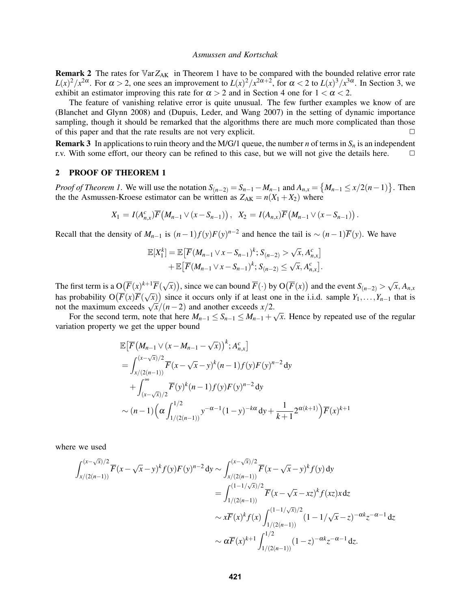**Remark 2** The rates for  $\mathbb{V}arZ_{AK}$  in Theorem 1 have to be compared with the bounded relative error rate *L*(*x*)<sup>2</sup>/*x*<sup>2α</sup>. For α > 2, one sees an improvement to *L*(*x*)<sup>2</sup>/*x*<sup>2α+2</sup>, for α < 2 to *L*(*x*)<sup>3</sup>/*x*<sup>3α</sup>. In Section 3, we exhibit an estimator improving this rate for  $\alpha > 2$  and in Section 4 one for  $1 < \alpha < 2$ .

The feature of vanishing relative error is quite unusual. The few further examples we know of are (Blanchet and Glynn 2008) and (Dupuis, Leder, and Wang 2007) in the setting of dynamic importance sampling, though it should be remarked that the algorithms there are much more complicated than those of this paper and that the rate results are not very explicit.  $\Box$ 

**Remark 3** In applications to ruin theory and the M/G/1 queue, the number *n* of terms in  $S_n$  is an independent r.v. With some effort, our theory can be refined to this case, but we will not give the details here.  $\Box$ 

# 2 PROOF OF THEOREM 1

*Proof of Theorem 1*. We will use the notation  $S_{(n-2)} = S_{n-1} - M_{n-1}$  and  $A_{n,x} = \{M_{n-1} \le x/2(n-1)\}$ . Then the the Asmussen-Kroese estimator can be written as  $Z_{AK} = n(X_1 + X_2)$  where

$$
X_1 = I(A_{n,x}^c)\overline{F}(M_{n-1} \vee (x-S_{n-1})), \quad X_2 = I(A_{n,x})\overline{F}(M_{n-1} \vee (x-S_{n-1})).
$$

Recall that the density of  $M_{n-1}$  is  $(n-1)f(y)F(y)^{n-2}$  and hence the tail is ~  $(n-1)\overline{F}(y)$ . We have

$$
\mathbb{E}[X_1^k] = \mathbb{E}\big[\overline{F}(M_{n-1} \vee x - S_{n-1})^k; S_{(n-2)} > \sqrt{x}, A_{n,x}^c\big] + \mathbb{E}\big[\overline{F}(M_{n-1} \vee x - S_{n-1})^k; S_{(n-2)} \leq \sqrt{x}, A_{n,x}^c\big].
$$

The first term is a  $O(\overline{F}(x)^{k+1}\overline{F}(\sqrt{x}))$ , since we can bound  $\overline{F}(\cdot)$  by  $O(\overline{F}(x))$  and the event  $S_{(n-2)} > \sqrt{x}, A_{n,x}$ has probability  $O(F(x)F(\sqrt{x}))$  since it occurs only if at least one in the i.i.d. sample  $Y_1, \ldots, Y_{n-1}$  that is  $\frac{1}{n}$  as probability  $O(F(x)F(\sqrt{x}))$  since it occurs only if at least of not the maximum exceeds  $\sqrt{x}/(n-2)$  and another exceeds  $x/2$ .

For the second term, note that here  $M_{n-1} \leq S_{n-1} \leq M_{n-1} + \sqrt{S_n}$ *x*. Hence by repeated use of the regular variation property we get the upper bound

$$
\mathbb{E}\left[\overline{F}\left(M_{n-1}\vee(x-M_{n-1}-\sqrt{x})\right)^k;A_{n,x}^c\right]
$$
\n
$$
=\int_{x/(2(n-1))}^{(x-\sqrt{x})/2}\overline{F}(x-\sqrt{x}-y)^k(n-1)f(y)F(y)^{n-2}dy
$$
\n
$$
+\int_{(x-\sqrt{x})/2}^{\infty}\overline{F}(y)^k(n-1)f(y)F(y)^{n-2}dy
$$
\n
$$
\sim (n-1)\Big(\alpha\int_{1/(2(n-1))}^{1/2}y^{-\alpha-1}(1-y)^{-k\alpha}dy+\frac{1}{k+1}2^{\alpha(k+1)}\Big)\overline{F}(x)^{k+1}
$$

where we used

$$
\int_{x/(2(n-1))}^{(x-\sqrt{x})/2} \overline{F}(x-\sqrt{x}-y)^k f(y) F(y)^{n-2} dy \sim \int_{x/(2(n-1))}^{(x-\sqrt{x})/2} \overline{F}(x-\sqrt{x}-y)^k f(y) dy
$$
  
\n
$$
= \int_{1/(2(n-1))}^{(1-1/\sqrt{x})/2} \overline{F}(x-\sqrt{x}-xz)^k f(xz) x dz
$$
  
\n
$$
\sim x \overline{F}(x)^k f(x) \int_{1/(2(n-1))}^{(1-1/\sqrt{x})/2} (1-1/\sqrt{x}-z)^{-\alpha k} z^{-\alpha-1} dz
$$
  
\n
$$
\sim \alpha \overline{F}(x)^{k+1} \int_{1/(2(n-1))}^{1/2} (1-z)^{-\alpha k} z^{-\alpha-1} dz.
$$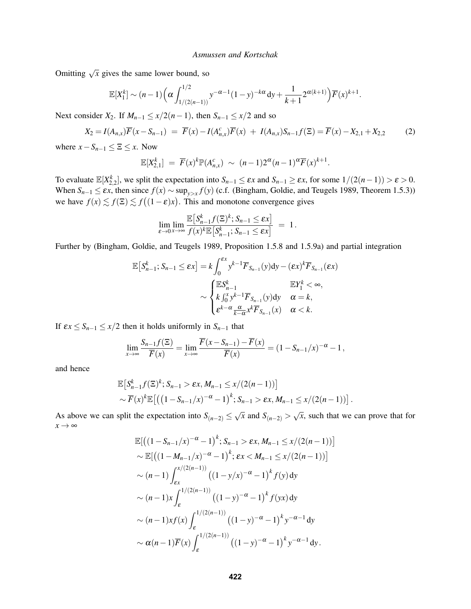Omitting  $\sqrt{x}$  gives the same lower bound, so

$$
\mathbb{E}[X_1^k] \sim (n-1) \Big( \alpha \int_{1/(2(n-1))}^{1/2} y^{-\alpha-1} (1-y)^{-k\alpha} dy + \frac{1}{k+1} 2^{\alpha(k+1)} \Big) \overline{F}(x)^{k+1}.
$$

Next consider  $X_2$ . If  $M_{n-1} \leq x/2(n-1)$ , then  $S_{n-1} \leq x/2$  and so

$$
X_2 = I(A_{n,x})\overline{F}(x - S_{n-1}) = \overline{F}(x) - I(A_{n,x}^c)\overline{F}(x) + I(A_{n,x})S_{n-1}f(\Xi) = \overline{F}(x) - X_{2,1} + X_{2,2}
$$
(2)

where  $x - S_{n-1} \leq \Xi \leq x$ . Now

$$
\mathbb{E}[X_{2,1}^k] = \overline{F}(x)^k \mathbb{P}(A_{n,x}^c) \sim (n-1)2^{\alpha}(n-1)^{\alpha} \overline{F}(x)^{k+1}.
$$

To evaluate  $\mathbb{E}[X_{2,2}^k]$ , we split the expectation into  $S_{n-1} \leq \varepsilon x$  and  $S_{n-1} \geq \varepsilon x$ , for some  $1/(2(n-1)) > \varepsilon > 0$ . When  $S_{n-1} \leq \varepsilon x$ , then since  $f(x) \sim \sup_{y>x} f(y)$  (c.f. (Bingham, Goldie, and Teugels 1989, Theorem 1.5.3)) we have  $f(x) \lesssim f(\Xi) \lesssim f((1-\varepsilon)x)$ . This and monotone convergence gives

$$
\lim_{\varepsilon \to 0} \lim_{x \to \infty} \frac{\mathbb{E}\left[S_{n-1}^k f(\Xi)^k; S_{n-1} \leq \varepsilon x\right]}{f(x)^k \mathbb{E}\left[S_{n-1}^k; S_{n-1} \leq \varepsilon x\right]} = 1.
$$

Further by (Bingham, Goldie, and Teugels 1989, Proposition 1.5.8 and 1.5.9a) and partial integration

$$
\mathbb{E}\left[S_{n-1}^k; S_{n-1} \leq \varepsilon x\right] = k \int_0^{\varepsilon x} y^{k-1} \overline{F}_{S_{n-1}}(y) \mathrm{d}y - (\varepsilon x)^k \overline{F}_{S_{n-1}}(\varepsilon x) \sim \begin{cases} \mathbb{E}S_{n-1}^k & \mathbb{E}Y_1^k < \infty, \\ k \int_0^x y^{k-1} \overline{F}_{S_{n-1}}(y) \mathrm{d}y & \alpha = k, \\ \varepsilon^{k-\alpha} \frac{\alpha}{k-\alpha} x^k \overline{F}_{S_{n-1}}(x) & \alpha < k. \end{cases}
$$

If  $\epsilon x \leq S_{n-1} \leq x/2$  then it holds uniformly in  $S_{n-1}$  that

$$
\lim_{x \to \infty} \frac{S_{n-1}f(\Xi)}{\overline{F}(x)} = \lim_{x \to \infty} \frac{\overline{F}(x - S_{n-1}) - \overline{F}(x)}{\overline{F}(x)} = (1 - S_{n-1}/x)^{-\alpha} - 1,
$$

and hence

$$
\mathbb{E}\big[S_{n-1}^k f(\Xi)^k; S_{n-1} > \varepsilon x, M_{n-1} \le x/(2(n-1))\big] \sim \overline{F}(x)^k \mathbb{E}\big[\big((1 - S_{n-1}/x)^{-\alpha} - 1\big)^k; S_{n-1} > \varepsilon x, M_{n-1} \le x/(2(n-1))\big].
$$

As above we can split the expectation into  $S_{(n-2)} \leq \sqrt{x}$  and  $S_{(n-2)} > \sqrt{x}$ *x*, such that we can prove that for  $x \rightarrow \infty$ 

$$
\mathbb{E}\left[\left((1-S_{n-1}/x)^{-\alpha}-1\right)^{k}; S_{n-1} > \varepsilon x, M_{n-1} \leq x/(2(n-1))\right]
$$
  
\n
$$
\sim \mathbb{E}\left[\left((1-M_{n-1}/x)^{-\alpha}-1\right)^{k}; \varepsilon x < M_{n-1} \leq x/(2(n-1))\right]
$$
  
\n
$$
\sim (n-1)\int_{\varepsilon x}^{x/(2(n-1))} \left((1-y/x)^{-\alpha}-1\right)^{k} f(y) dy
$$
  
\n
$$
\sim (n-1)x \int_{\varepsilon}^{1/(2(n-1))} \left((1-y)^{-\alpha}-1\right)^{k} f(yx) dy
$$
  
\n
$$
\sim (n-1)x f(x) \int_{\varepsilon}^{1/(2(n-1))} \left((1-y)^{-\alpha}-1\right)^{k} y^{-\alpha-1} dy
$$
  
\n
$$
\sim \alpha (n-1)\overline{F}(x) \int_{\varepsilon}^{1/(2(n-1))} \left((1-y)^{-\alpha}-1\right)^{k} y^{-\alpha-1} dy.
$$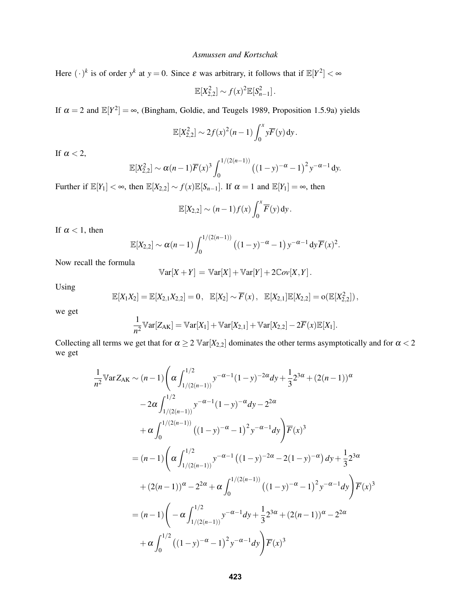Here  $(\cdot)^k$  is of order  $y^k$  at  $y = 0$ . Since  $\varepsilon$  was arbitrary, it follows that if  $\mathbb{E}[Y^2] < \infty$ 

$$
\mathbb{E}[X_{2,2}^2] \sim f(x)^2 \mathbb{E}[S_{n-1}^2].
$$

If  $\alpha = 2$  and  $\mathbb{E}[Y^2] = \infty$ , (Bingham, Goldie, and Teugels 1989, Proposition 1.5.9a) yields

$$
\mathbb{E}[X_{2,2}^2] \sim 2f(x)^2(n-1)\int_0^x y\overline{F}(y) \,dy.
$$

If  $\alpha < 2$ ,

$$
\mathbb{E}[X_{2,2}^2] \sim \alpha (n-1) \overline{F}(x)^3 \int_0^{1/(2(n-1))} ((1-y)^{-\alpha} - 1)^2 y^{-\alpha-1} dy.
$$

Further if  $\mathbb{E}[Y_1] < \infty$ , then  $\mathbb{E}[X_{2,2}] \sim f(x)\mathbb{E}[S_{n-1}]$ . If  $\alpha = 1$  and  $\mathbb{E}[Y_1] = \infty$ , then

$$
\mathbb{E}[X_{2,2}]\sim (n-1)f(x)\int_0^x \overline{F}(y) \,dy.
$$

If  $\alpha$  < 1, then

$$
\mathbb{E}[X_{2,2}] \sim \alpha(n-1) \int_0^{1/(2(n-1))} \left( (1-y)^{-\alpha} - 1 \right) y^{-\alpha-1} dy \overline{F}(x)^2.
$$

Now recall the formula

$$
\mathbb{V}\text{ar}[X+Y] = \mathbb{V}\text{ar}[X] + \mathbb{V}\text{ar}[Y] + 2\mathbb{C}ov[X,Y].
$$

Using

$$
\mathbb{E}[X_1X_2] = \mathbb{E}[X_{2,1}X_{2,2}] = 0, \quad \mathbb{E}[X_2] \sim \overline{F}(x), \quad \mathbb{E}[X_{2,1}]\mathbb{E}[X_{2,2}] = o(\mathbb{E}[X_{2,2}^2]),
$$

we get

$$
\frac{1}{n^2}\mathbb{V}\text{ar}[Z_{AK}] = \mathbb{V}\text{ar}[X_1] + \mathbb{V}\text{ar}[X_{2,1}] + \mathbb{V}\text{ar}[X_{2,2}] - 2\overline{F}(x)\mathbb{E}[X_1].
$$

Collecting all terms we get that for  $\alpha \ge 2 \text{Var}[X_{2,2}]$  dominates the other terms asymptotically and for  $\alpha < 2$ we get

$$
\frac{1}{n^2} \mathbb{V} \text{ar} Z_{\text{AK}} \sim (n-1) \left( \alpha \int_{1/(2(n-1))}^{1/2} y^{-\alpha-1} (1-y)^{-2\alpha} dy + \frac{1}{3} 2^{3\alpha} + (2(n-1))^{\alpha} \right.
$$
  
\n
$$
-2\alpha \int_{1/(2(n-1))}^{1/2} y^{-\alpha-1} (1-y)^{-\alpha} dy - 2^{2\alpha}
$$
  
\n
$$
+ \alpha \int_{0}^{1/(2(n-1))} ((1-y)^{-\alpha} - 1)^2 y^{-\alpha-1} dy \Big) \overline{F}(x)^3
$$
  
\n
$$
= (n-1) \left( \alpha \int_{1/(2(n-1))}^{1/2} y^{-\alpha-1} ((1-y)^{-2\alpha} - 2(1-y)^{-\alpha}) dy + \frac{1}{3} 2^{3\alpha} \right.
$$
  
\n
$$
+ (2(n-1))^{\alpha} - 2^{2\alpha} + \alpha \int_{0}^{1/(2(n-1))} ((1-y)^{-\alpha} - 1)^2 y^{-\alpha-1} dy \Big) \overline{F}(x)^3
$$
  
\n
$$
= (n-1) \left( -\alpha \int_{1/(2(n-1))}^{1/2} y^{-\alpha-1} dy + \frac{1}{3} 2^{3\alpha} + (2(n-1))^{\alpha} - 2^{2\alpha} \right.
$$
  
\n
$$
+ \alpha \int_{0}^{1/2} ((1-y)^{-\alpha} - 1)^2 y^{-\alpha-1} dy \Big) \overline{F}(x)^3
$$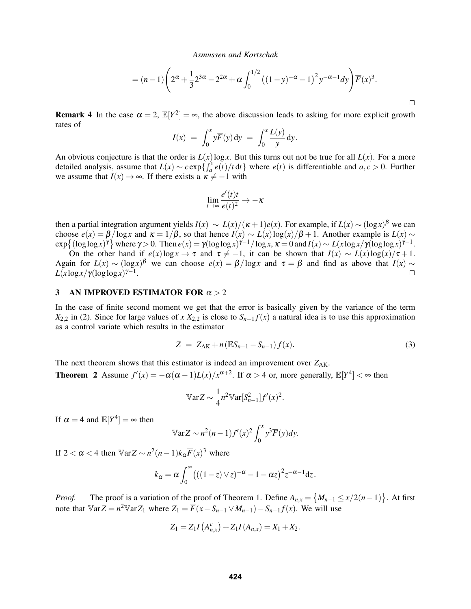$$
= (n-1)\left(2^{\alpha} + \frac{1}{3}2^{3\alpha} - 2^{2\alpha} + \alpha \int_0^{1/2} ((1-y)^{-\alpha} - 1)^2 y^{-\alpha-1} dy\right) \overline{F}(x)^3.
$$

**Remark 4** In the case  $\alpha = 2$ ,  $\mathbb{E}[Y^2] = \infty$ , the above discussion leads to asking for more explicit growth rates of

$$
I(x) = \int_0^x y \overline{F}(y) dy = \int_0^x \frac{L(y)}{y} dy.
$$

An obvious conjecture is that the order is  $L(x) \log x$ . But this turns out not be true for all  $L(x)$ . For a more detailed analysis, assume that  $L(x) \sim c \exp\left\{ \int_a^x e(t) / t \, dt \right\}$  where  $e(t)$  is differentiable and  $a, c > 0$ . Further we assume that  $I(x) \to \infty$ . If there exists a  $\kappa \neq -1$  with

$$
\lim_{t \to \infty} \frac{e'(t)t}{e(t)^2} \to -\kappa
$$

then a partial integration argument yields  $I(x) \sim L(x)/( \kappa + 1)e(x)$ . For example, if  $L(x) \sim (\log x)^{\beta}$  we can choose  $e(x) = \frac{\beta}{\log x}$  and  $\kappa = \frac{1}{\beta}$ , so that hence  $I(x) \sim L(x) \log(x)/\beta + 1$ . Another example is  $L(x) \sim$  $\exp\{( (\log \log x)^\gamma ) \}$  where  $\gamma > 0$ . Then  $e(x) = \gamma (\log \log x)^{\gamma - 1} / \log x$ ,  $\kappa = 0$  and  $I(x) \sim L(x \log x / \gamma (\log \log x)^{\gamma - 1}$ .

On the other hand if  $e(x) \log x \to \tau$  and  $\tau \neq -1$ , it can be shown that  $I(x) \sim L(x) \log(x)/\tau + 1$ . Again for  $L(x) \sim (\log x)^{\beta}$  we can choose  $e(x) = \beta/\log x$  and  $\tau = \beta$  and find as above that  $I(x) \sim$ *L*(*x* log*x*/γ(loglog*x*) γ−1 . The contract of the contract of the contract of the contract of the contract of the contract of the contract of the contract of the contract of the contract of the contract of the contract of the contract of the contrac

### 3 AN IMPROVED ESTIMATOR FOR  $\alpha > 2$

In the case of finite second moment we get that the error is basically given by the variance of the term *X*<sub>2,2</sub> in (2). Since for large values of *x X*<sub>2,2</sub> is close to  $S_{n-1}f(x)$  a natural idea is to use this approximation as a control variate which results in the estimator

$$
Z = Z_{AK} + n(ES_{n-1} - S_{n-1})f(x).
$$
 (3)

The next theorem shows that this estimator is indeed an improvement over  $Z_{AK}$ .

**Theorem 2** Assume  $f'(x) = -\alpha(\alpha - 1)L(x)/x^{\alpha+2}$ . If  $\alpha > 4$  or, more generally,  $\mathbb{E}[Y^4] < \infty$  then

$$
\mathbb{V}\text{ar}Z \sim \frac{1}{4}n^2 \mathbb{V}\text{ar}[S_{n-1}^2]f'(x)^2.
$$

If  $\alpha = 4$  and  $\mathbb{E}[Y^4] = \infty$  then

$$
\mathbb{V}\text{ar}Z \sim n^2(n-1)f'(x)^2 \int_0^x y^3 \overline{F}(y)dy.
$$

If  $2 < \alpha < 4$  then  $\sqrt{\alpha}Z \sim n^2(n-1)k_{\alpha}F(x)^3$  where

$$
k_{\alpha} = \alpha \int_0^{\infty} \left( ((1-z) \vee z)^{-\alpha} - 1 - \alpha z \right)^2 z^{-\alpha - 1} dz.
$$

*Proof.* The proof is a variation of the proof of Theorem 1. Define  $A_{n,x} = \{M_{n-1} \le x/2(n-1)\}\.$  At first note that  $\mathbb{V}arZ = n^2 \mathbb{V}arZ_1$  where  $Z_1 = \overline{F}(x - S_{n-1} \vee M_{n-1}) - S_{n-1}f(x)$ . We will use

$$
Z_1 = Z_1 I\left(A_{n,x}^c\right) + Z_1 I\left(A_{n,x}\right) = X_1 + X_2.
$$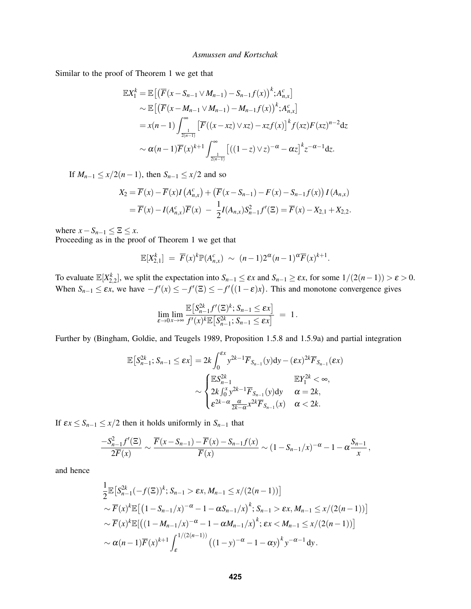Similar to the proof of Theorem 1 we get that

$$
\mathbb{E}X_{1}^{k} = \mathbb{E}\left[\left(\overline{F}(x - S_{n-1} \vee M_{n-1}) - S_{n-1}f(x)\right)^{k}; A_{n,x}^{c}\right] \\
\sim \mathbb{E}\left[\left(\overline{F}(x - M_{n-1} \vee M_{n-1}) - M_{n-1}f(x)\right)^{k}; A_{n,x}^{c}\right] \\
= x(n-1) \int_{\frac{1}{2(n-1)}}^{\infty} \left[\overline{F}((x - xz) \vee xz) - xzf(x)\right]^{k} f(xz) F(xz)^{n-2} dz \\
\sim \alpha(n-1)\overline{F}(x)^{k+1} \int_{\frac{1}{2(n-1)}}^{\infty} \left[((1-z) \vee z)^{-\alpha} - \alpha z\right]^{k} z^{-\alpha-1} dz.
$$

If  $M_{n-1} \leq x/2(n-1)$ , then  $S_{n-1} \leq x/2$  and so

$$
X_2 = \overline{F}(x) - \overline{F}(x)I(A_{n,x}^c) + (\overline{F}(x - S_{n-1}) - F(x) - S_{n-1}f(x))I(A_{n,x})
$$
  
=  $\overline{F}(x) - I(A_{n,x}^c)\overline{F}(x) - \frac{1}{2}I(A_{n,x})S_{n-1}^2f'(\Xi) = \overline{F}(x) - X_{2,1} + X_{2,2}.$ 

where  $x - S_{n-1} \leq \Xi \leq x$ .

Proceeding as in the proof of Theorem 1 we get that

$$
\mathbb{E}[X_{2,1}^k] = \overline{F}(x)^k \mathbb{P}(A_{n,x}^c) \sim (n-1)2^{\alpha}(n-1)^{\alpha} \overline{F}(x)^{k+1}.
$$

To evaluate  $\mathbb{E}[X_{2,2}^k]$ , we split the expectation into  $S_{n-1} \leq \varepsilon x$  and  $S_{n-1} \geq \varepsilon x$ , for some  $1/(2(n-1)) > \varepsilon > 0$ . When  $S_{n-1} \leq \varepsilon x$ , we have  $-f'(x) \leq -f'(\overline{z}) \leq -f'((1-\varepsilon)x)$ . This and monotone convergence gives

$$
\lim_{\varepsilon \to 0} \lim_{x \to \infty} \frac{\mathbb{E}\left[S_{n-1}^{2k} f'(\Xi)^k; S_{n-1} \leq \varepsilon x\right]}{f'(x)^k \mathbb{E}\left[S_{n-1}^{2k}; S_{n-1} \leq \varepsilon x\right]} = 1.
$$

Further by (Bingham, Goldie, and Teugels 1989, Proposition 1.5.8 and 1.5.9a) and partial integration

$$
\mathbb{E}\left[S_{n-1}^{2k};S_{n-1}\leq \epsilon x\right]=2k\int_{0}^{\epsilon x}y^{2k-1}\overline{F}_{S_{n-1}}(y)\mathrm{d}y-(\epsilon x)^{2k}\overline{F}_{S_{n-1}}(\epsilon x)
$$

$$
\sim\begin{cases} \mathbb{E}S_{n-1}^{2k} & \mathbb{E}Y_{1}^{2k}<\infty, \\ 2k\int_{0}^{x}y^{2k-1}\overline{F}_{S_{n-1}}(y)\mathrm{d}y & \alpha=2k, \\ \epsilon^{2k-\alpha}\frac{\alpha}{2k-\alpha}x^{2k}\overline{F}_{S_{n-1}}(x) & \alpha<2k. \end{cases}
$$

If  $\epsilon x \leq S_{n-1} \leq x/2$  then it holds uniformly in  $S_{n-1}$  that

$$
\frac{-S_{n-1}^2 f'(\Xi)}{2\overline{F}(x)} \sim \frac{\overline{F}(x - S_{n-1}) - \overline{F}(x) - S_{n-1}f(x)}{\overline{F}(x)} \sim (1 - S_{n-1}/x)^{-\alpha} - 1 - \alpha \frac{S_{n-1}}{x},
$$

and hence

$$
\frac{1}{2} \mathbb{E} \left[ S_{n-1}^{2k} (-f(\Xi))^k ; S_{n-1} > \varepsilon x, M_{n-1} \le x/(2(n-1)) \right]
$$
\n
$$
\sim \overline{F}(x)^k \mathbb{E} \left[ \left( 1 - S_{n-1}/x \right)^{-\alpha} - 1 - \alpha S_{n-1}/x \right)^k ; S_{n-1} > \varepsilon x, M_{n-1} \le x/(2(n-1)) \right]
$$
\n
$$
\sim \overline{F}(x)^k \mathbb{E} \left[ \left( (1 - M_{n-1}/x)^{-\alpha} - 1 - \alpha M_{n-1}/x \right)^k ; \varepsilon x < M_{n-1} \le x/(2(n-1)) \right]
$$
\n
$$
\sim \alpha(n-1) \overline{F}(x)^{k+1} \int_{\varepsilon}^{1/(2(n-1))} \left( (1 - y)^{-\alpha} - 1 - \alpha y \right)^k y^{-\alpha-1} dy.
$$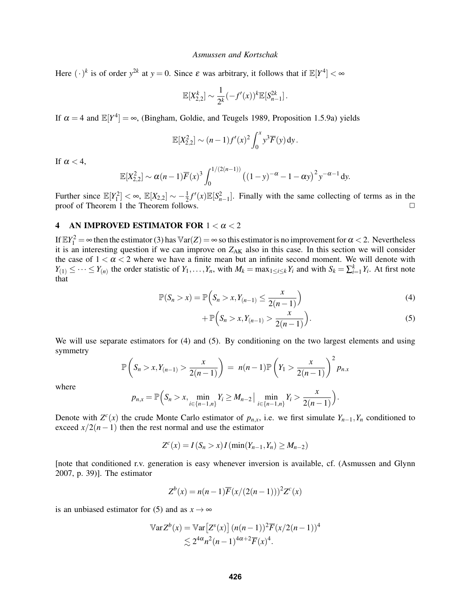Here  $(\cdot)^k$  is of order  $y^{2k}$  at  $y = 0$ . Since  $\varepsilon$  was arbitrary, it follows that if  $\mathbb{E}[Y^4] < \infty$ 

$$
\mathbb{E}[X_{2,2}^k] \sim \frac{1}{2^k} (-f'(x))^k \mathbb{E}[S_{n-1}^{2k}].
$$

If  $\alpha = 4$  and  $\mathbb{E}[Y^4] = \infty$ , (Bingham, Goldie, and Teugels 1989, Proposition 1.5.9a) yields

$$
\mathbb{E}[X_{2,2}^2] \sim (n-1)f'(x)^2 \int_0^x y^3 \overline{F}(y) \,dy.
$$

If  $\alpha < 4$ ,

$$
\mathbb{E}[X_{2,2}^2] \sim \alpha (n-1) \overline{F}(x)^3 \int_0^{1/(2(n-1))} ((1-y)^{-\alpha} - 1 - \alpha y)^2 y^{-\alpha-1} dy.
$$

Further since  $\mathbb{E}[Y_1^2] < \infty$ ,  $\mathbb{E}[X_{2,2}] \sim -\frac{1}{2}$  $\frac{1}{2}f'(x)\mathbb{E}[S_{n-1}^2]$ . Finally with the same collecting of terms as in the proof of Theorem 1 the Theorem follows.

# 4 AN IMPROVED ESTIMATOR FOR  $1 < \alpha < 2$

If  $\mathbb{E}Y_1^2 = \infty$  then the estimator (3) has  $\mathbb{V}\text{ar}(Z) = \infty$  so this estimator is no improvement for  $\alpha < 2$ . Nevertheless it is an interesting question if we can improve on  $Z_{AK}$  also in this case. In this section we will consider the case of  $1 < \alpha < 2$  where we have a finite mean but an infinite second moment. We will denote with  $Y_{(1)} \leq \cdots \leq Y_{(n)}$  the order statistic of  $Y_1, \ldots, Y_n$ , with  $M_k = \max_{1 \leq i \leq k} Y_i$  and with  $S_k = \sum_{i=1}^k Y_i$ . At first note that

$$
\mathbb{P}(S_n > x) = \mathbb{P}\left(S_n > x, Y_{(n-1)} \le \frac{x}{2(n-1)}\right)
$$
 (4)

$$
+\,\mathbb{P}\Big(S_n > x, Y_{(n-1)} > \frac{x}{2(n-1)}\Big). \tag{5}
$$

We will use separate estimators for (4) and (5). By conditioning on the two largest elements and using symmetry

$$
\mathbb{P}\left(S_n > x, Y_{(n-1)} > \frac{x}{2(n-1)}\right) = n(n-1)\mathbb{P}\left(Y_1 > \frac{x}{2(n-1)}\right)^2 p_{n,x}
$$

where

$$
p_{n,x} = \mathbb{P}\Big(S_n > x, \min_{i \in \{n-1,n\}} Y_i \ge M_{n-2} \Big| \min_{i \in \{n-1,n\}} Y_i > \frac{x}{2(n-1)}\Big).
$$

Denote with  $Z^{c}(x)$  the crude Monte Carlo estimator of  $p_{n,x}$ , i.e. we first simulate  $Y_{n-1}, Y_n$  conditioned to exceed  $x/2(n-1)$  then the rest normal and use the estimator

$$
Z^{c}(x) = I(S_n > x) I(\min(Y_{n-1}, Y_n) \ge M_{n-2})
$$

[note that conditioned r.v. generation is easy whenever inversion is available, cf. (Asmussen and Glynn 2007, p. 39)]. The estimator

$$
Z^{b}(x) = n(n-1)\overline{F}(x/(2(n-1)))^{2}Z^{c}(x)
$$

is an unbiased estimator for (5) and as  $x \rightarrow \infty$ 

$$
\begin{aligned} \mathbb{V}\text{ar}\,Z^{b}(x) &= \mathbb{V}\text{ar}\big[Z^{s}(x)\big]\,(n(n-1))^{2}\overline{F}(x/2(n-1))^{4} \\ &\lesssim 2^{4\alpha}n^{2}(n-1)^{4\alpha+2}\overline{F}(x)^{4} .\end{aligned}
$$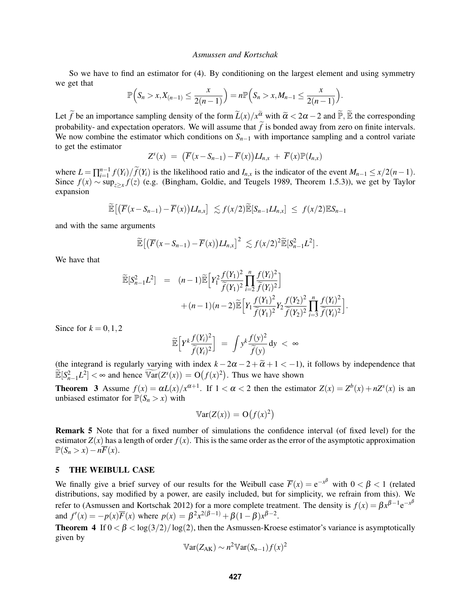So we have to find an estimator for (4). By conditioning on the largest element and using symmetry we get that

$$
\mathbb{P}\Big(S_n > x, X_{(n-1)} \leq \frac{x}{2(n-1)}\Big) = n \mathbb{P}\Big(S_n > x, M_{n-1} \leq \frac{x}{2(n-1)}\Big).
$$

Let  $\widetilde{f}$  be an importance sampling density of the form  $\widetilde{L}(x)/x^{\widetilde{\alpha}}$  with  $\widetilde{\alpha} < 2\alpha - 2$  and  $\widetilde{\mathbb{P}}, \widetilde{\mathbb{E}}$  the corresponding probability- and expectation operators. We will assume that  $\tilde{f}$  is bonded away from zero on finite intervals. We now combine the estimator which conditions on  $S_{n-1}$  with importance sampling and a control variate to get the estimator

$$
Z^{s}(x) = (\overline{F}(x - S_{n-1}) - \overline{F}(x))LI_{n,x} + \overline{F}(x)\mathbb{P}(I_{n,x})
$$

where  $L = \prod_{i=1}^{n-1} f(Y_i) / \widetilde{f}(Y_i)$  is the likelihood ratio and  $I_{n,x}$  is the indicator of the event  $M_{n-1} \le x/2(n-1)$ . Since  $f(x) \sim \sup_{z \geq x} f(z)$  (e.g. (Bingham, Goldie, and Teugels 1989, Theorem 1.5.3)), we get by Taylor expansion

$$
\widetilde{\mathbb{E}}\big[\big(\overline{F}(x-S_{n-1})-\overline{F}(x)\big)LI_{n,x}\big] \lesssim f(x/2)\widetilde{\mathbb{E}}[S_{n-1}LI_{n,x}] \leq f(x/2)\mathbb{E}S_{n-1}
$$

and with the same arguments

$$
\widetilde{\mathbb{E}}\big[\big(\overline{F}(x-S_{n-1})-\overline{F}(x)\big)LI_{n,x}\big]^2\lesssim f(x/2)^2\widetilde{\mathbb{E}}[S_{n-1}^2L^2].
$$

We have that

$$
\widetilde{\mathbb{E}}[S_{n-1}^2 L^2] = (n-1)\widetilde{\mathbb{E}}\Big[Y_1^2 \frac{f(Y_1)^2}{\widetilde{f}(Y_1)^2} \prod_{i=2}^n \frac{f(Y_i)^2}{\widetilde{f}(Y_i)^2}\Big] + (n-1)(n-2)\widetilde{\mathbb{E}}\Big[Y_1 \frac{f(Y_1)^2}{\widetilde{f}(Y_1)^2} Y_2 \frac{f(Y_2)^2}{\widetilde{f}(Y_2)^2} \prod_{i=3}^n \frac{f(Y_i)^2}{\widetilde{f}(Y_i)^2}\Big]
$$

.

Since for  $k = 0, 1, 2$ 

$$
\widetilde{\mathbb{E}}\Big[Y^k\frac{f(Y_i)^2}{\widetilde{f}(Y_i)^2}\Big] \ = \ \int y^k\frac{f(y)^2}{\widetilde{f}(y)}\,dy \ < \ \infty
$$

(the integrand is regularly varying with index  $k - 2\alpha - 2 + \tilde{\alpha} + 1 < -1$ ), it follows by independence that  $\widetilde{\mathbb{E}}[S_{n-1}^2 L^2] < \infty$  and hence  $\widetilde{\mathbb{Var}}(Z^s(x)) = \mathcal{O}(f(x)^2)$ . Thus we have shown

**Theorem 3** Assume  $f(x) = \alpha L(x)/x^{\alpha+1}$ . If  $1 < \alpha < 2$  then the estimator  $Z(x) = Z^b(x) + nZ^s(x)$  is an unbiased estimator for  $\mathbb{P}(S_n > x)$  with

$$
\mathbb{V}\text{ar}(Z(x)) = \mathcal{O}(f(x)^2)
$$

Remark 5 Note that for a fixed number of simulations the confidence interval (of fixed level) for the estimator  $Z(x)$  has a length of order  $f(x)$ . This is the same order as the error of the asymptotic approximation  $\mathbb{P}(S_n > x) - n\overline{F}(x).$ 

# 5 THE WEIBULL CASE

We finally give a brief survey of our results for the Weibull case  $\overline{F}(x) = e^{-x^{\beta}}$  with  $0 < \beta < 1$  (related distributions, say modified by a power, are easily included, but for simplicity, we refrain from this). We refer to (Asmussen and Kortschak 2012) for a more complete treatment. The density is  $f(x) = \beta x^{\beta-1} e^{-x^{\beta}}$ and  $f'(x) = -p(x)\overline{F}(x)$  where  $p(x) = \beta^2 x^{2(\beta - 1)} + \beta(1 - \beta)x^{\beta - 2}$ .

Theorem 4 If  $0 < \beta < \log(3/2)/\log(2)$ , then the Asmussen-Kroese estimator's variance is asymptotically given by

$$
\mathbb{V}\text{ar}(Z_{\text{AK}}) \sim n^2 \mathbb{V}\text{ar}(S_{n-1}) f(x)^2
$$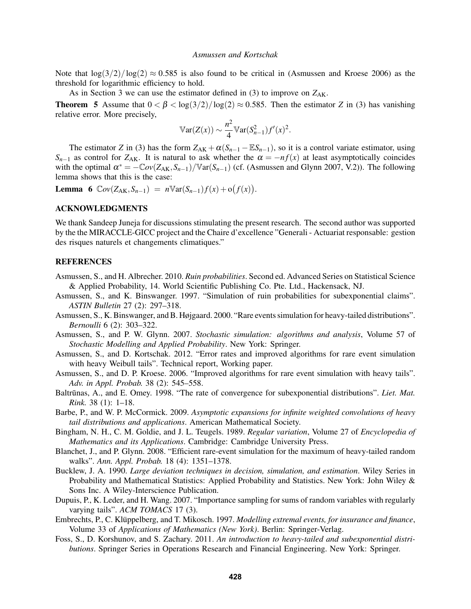Note that  $\log(3/2)/\log(2) \approx 0.585$  is also found to be critical in (Asmussen and Kroese 2006) as the threshold for logarithmic efficiency to hold.

As in Section 3 we can use the estimator defined in  $(3)$  to improve on  $Z_{AK}$ .

Theorem 5 Assume that  $0 < \beta < \log(3/2)/\log(2) \approx 0.585$ . Then the estimator *Z* in (3) has vanishing relative error. More precisely,

$$
\mathbb{V}\mathrm{ar}(Z(x)) \sim \frac{n^2}{4} \mathbb{V}\mathrm{ar}(S_{n-1}^2) f'(x)^2.
$$

The estimator *Z* in (3) has the form  $Z_{AK} + \alpha (S_{n-1} - \mathbb{E}S_{n-1})$ , so it is a control variate estimator, using  $S_{n-1}$  as control for  $Z_{AK}$ . It is natural to ask whether the  $\alpha = -nf(x)$  at least asymptotically coincides with the optimal  $\alpha^* = -\mathbb{C}ov(Z_{AK}, S_{n-1})/\mathbb{V}ar(S_{n-1})$  (cf. (Asmussen and Glynn 2007, V.2)). The following lemma shows that this is the case:

Lemma 6  $Cov(Z_{AK}, S_{n-1}) = n \mathbb{V}ar(S_{n-1})f(x) + o(f(x)).$ 

# ACKNOWLEDGMENTS

We thank Sandeep Juneja for discussions stimulating the present research. The second author was supported by the the MIRACCLE-GICC project and the Chaire d'excellence "Generali - Actuariat responsable: gestion des risques naturels et changements climatiques."

### REFERENCES

- Asmussen, S., and H. Albrecher. 2010. *Ruin probabilities*. Second ed. Advanced Series on Statistical Science & Applied Probability, 14. World Scientific Publishing Co. Pte. Ltd., Hackensack, NJ.
- Asmussen, S., and K. Binswanger. 1997. "Simulation of ruin probabilities for subexponential claims". *ASTIN Bulletin* 27 (2): 297–318.
- Asmussen, S., K. Binswanger, and B. Højgaard. 2000. "Rare events simulation for heavy-tailed distributions". *Bernoulli* 6 (2): 303–322.
- Asmussen, S., and P. W. Glynn. 2007. *Stochastic simulation: algorithms and analysis*, Volume 57 of *Stochastic Modelling and Applied Probability*. New York: Springer.
- Asmussen, S., and D. Kortschak. 2012. "Error rates and improved algorithms for rare event simulation with heavy Weibull tails". Technical report, Working paper.
- Asmussen, S., and D. P. Kroese. 2006. "Improved algorithms for rare event simulation with heavy tails". *Adv. in Appl. Probab.* 38 (2): 545–558.
- Baltrūnas, A., and E. Omey. 1998. "The rate of convergence for subexponential distributions". Liet. Mat. *Rink.* 38 (1): 1–18.
- Barbe, P., and W. P. McCormick. 2009. *Asymptotic expansions for infinite weighted convolutions of heavy tail distributions and applications*. American Mathematical Society.
- Bingham, N. H., C. M. Goldie, and J. L. Teugels. 1989. *Regular variation*, Volume 27 of *Encyclopedia of Mathematics and its Applications*. Cambridge: Cambridge University Press.
- Blanchet, J., and P. Glynn. 2008. "Efficient rare-event simulation for the maximum of heavy-tailed random walks". *Ann. Appl. Probab.* 18 (4): 1351–1378.
- Bucklew, J. A. 1990. *Large deviation techniques in decision, simulation, and estimation*. Wiley Series in Probability and Mathematical Statistics: Applied Probability and Statistics. New York: John Wiley & Sons Inc. A Wiley-Interscience Publication.
- Dupuis, P., K. Leder, and H. Wang. 2007. "Importance sampling for sums of random variables with regularly varying tails". *ACM TOMACS* 17 (3).
- Embrechts, P., C. Klüppelberg, and T. Mikosch. 1997. Modelling extremal events, for insurance and finance, Volume 33 of *Applications of Mathematics (New York)*. Berlin: Springer-Verlag.
- Foss, S., D. Korshunov, and S. Zachary. 2011. *An introduction to heavy-tailed and subexponential distributions*. Springer Series in Operations Research and Financial Engineering. New York: Springer.